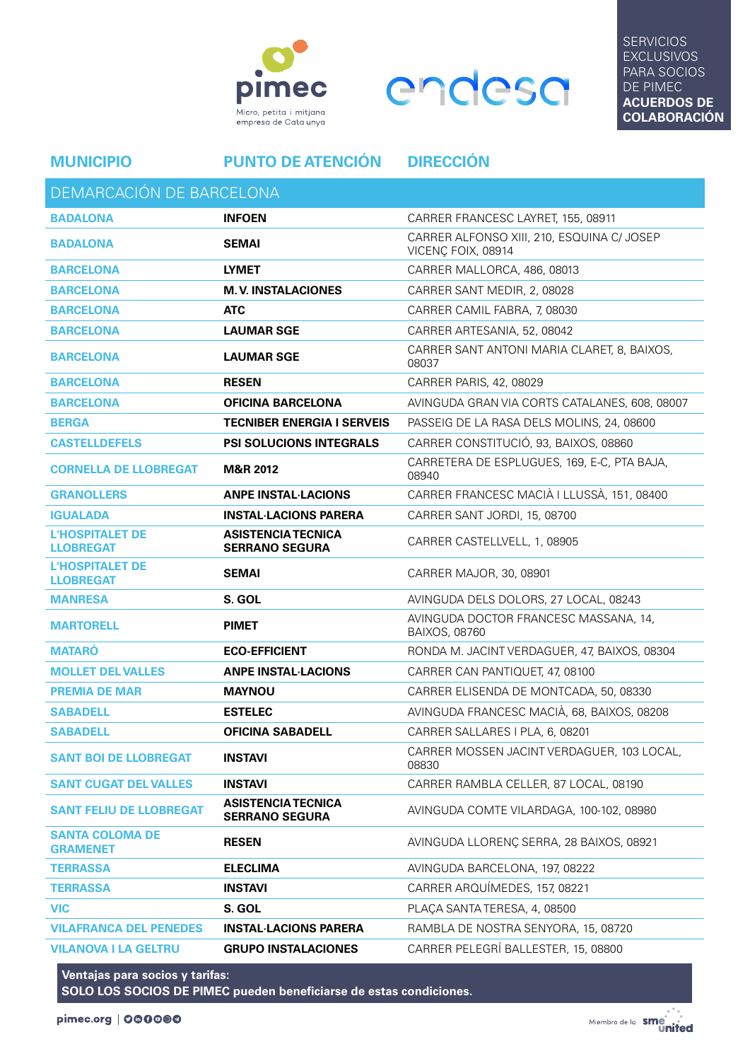



**SERVICIOS EXCLUSIVOS** PARA SOCIOS DE PIMEC **ACUERDOS DE COLABORACIÓN**

DEMARCACIÓN DE BARCELONA

**MUNICIPIO PUNTO DE ATENCIÓN DIRECCIÓN**

| DEIVIAITOACION DE DAITOELONA               |                                                    |                                                                  |
|--------------------------------------------|----------------------------------------------------|------------------------------------------------------------------|
| <b>BADALONA</b>                            | <b>INFOEN</b>                                      | CARRER FRANCESC LAYRET, 155, 08911                               |
| <b>BADALONA</b>                            | <b>SEMAI</b>                                       | CARRER ALFONSO XIII, 210, ESQUINA C/ JOSEP<br>VICENÇ FOIX, 08914 |
| <b>BARCELONA</b>                           | <b>LYMET</b>                                       | CARRER MALLORCA, 486, 08013                                      |
| <b>BARCELONA</b>                           | <b>M.V. INSTALACIONES</b>                          | CARRER SANT MEDIR, 2, 08028                                      |
| <b>BARCELONA</b>                           | <b>ATC</b>                                         | CARRER CAMIL FABRA, 7, 08030                                     |
| <b>BARCELONA</b>                           | <b>LAUMAR SGE</b>                                  | CARRER ARTESANIA, 52, 08042                                      |
| <b>BARCELONA</b>                           | <b>LAUMAR SGE</b>                                  | CARRER SANT ANTONI MARIA CLARET, 8, BAIXOS,<br>08037             |
| <b>BARCELONA</b>                           | <b>RESEN</b>                                       | CARRER PARIS, 42, 08029                                          |
| <b>BARCELONA</b>                           | <b>OFICINA BARCELONA</b>                           | AVINGUDA GRAN VIA CORTS CATALANES, 608, 08007                    |
| <b>BERGA</b>                               | <b>TECNIBER ENERGIA I SERVEIS</b>                  | PASSEIG DE LA RASA DELS MOLINS, 24, 08600                        |
| <b>CASTELLDEFELS</b>                       | <b>PSI SOLUCIONS INTEGRALS</b>                     | CARRER CONSTITUCIÓ, 93, BAIXOS, 08860                            |
| <b>CORNELLA DE LLOBREGAT</b>               | <b>M&amp;R 2012</b>                                | CARRETERA DE ESPLUGUES, 169, E-C, PTA BAJA,<br>08940             |
| <b>GRANOLLERS</b>                          | <b>ANPE INSTAL LACIONS</b>                         | CARRER FRANCESC MACIÀ I LLUSSÀ, 151, 08400                       |
| <b>IGUALADA</b>                            | <b>INSTAL LACIONS PARERA</b>                       | CARRER SANT JORDI, 15, 08700                                     |
| <b>L'HOSPITALET DE</b><br><b>LLOBREGAT</b> | <b>ASISTENCIA TECNICA</b><br><b>SERRANO SEGURA</b> | CARRER CASTELLVELL, 1, 08905                                     |
| <b>L'HOSPITALET DE</b><br><b>LLOBREGAT</b> | <b>SEMAI</b>                                       | CARRER MAJOR, 30, 08901                                          |
| <b>MANRESA</b>                             | S. GOL                                             | AVINGUDA DELS DOLORS, 27 LOCAL, 08243                            |
| <b>MARTORELL</b>                           | <b>PIMET</b>                                       | AVINGUDA DOCTOR FRANCESC MASSANA, 14,<br><b>BAIXOS, 08760</b>    |
| <b>MATARÓ</b>                              | <b>ECO-EFFICIENT</b>                               | RONDA M. JACINT VERDAGUER, 47, BAIXOS, 08304                     |
| <b>MOLLET DEL VALLES</b>                   | <b>ANPE INSTAL LACIONS</b>                         | CARRER CAN PANTIQUET, 47, 08100                                  |
| <b>PREMIA DE MAR</b>                       | <b>MAYNOU</b>                                      | CARRER ELISENDA DE MONTCADA, 50, 08330                           |
| <b>SABADELL</b>                            | <b>ESTELEC</b>                                     | AVINGUDA FRANCESC MACIÀ, 68, BAIXOS, 08208                       |
| <b>SABADELL</b>                            | <b>OFICINA SABADELL</b>                            | CARRER SALLARES I PLA, 6, 08201                                  |
| <b>SANT BOI DE LLOBREGAT</b>               | <b>INSTAVI</b>                                     | CARRER MOSSEN JACINT VERDAGUER, 103 LOCAL,<br>08830              |
| <b>SANT CUGAT DEL VALLES</b>               | <b>INSTAVI</b>                                     | CARRER RAMBLA CELLER, 87 LOCAL, 08190                            |
| <b>SANT FELIU DE LLOBREGAT</b>             | <b>ASISTENCIA TECNICA</b><br><b>SERRANO SEGURA</b> | AVINGUDA COMTE VILARDAGA, 100-102, 08980                         |
| <b>SANTA COLOMA DE</b><br><b>GRAMENET</b>  | <b>RESEN</b>                                       | AVINGUDA LLORENÇ SERRA, 28 BAIXOS, 08921                         |
| <b>TERRASSA</b>                            | <b>ELECLIMA</b>                                    | AVINGUDA BARCELONA, 197, 08222                                   |
| <b>TERRASSA</b>                            | <b>INSTAVI</b>                                     | CARRER ARQUÍMEDES, 157, 08221                                    |
| <b>VIC</b>                                 | S. GOL                                             | PLAÇA SANTA TERESA, 4, 08500                                     |
| <b>VILAFRANCA DEL PENEDES</b>              | <b>INSTAL·LACIONS PARERA</b>                       | RAMBLA DE NOSTRA SENYORA, 15, 08720                              |
| <b>VILANOVA I LA GELTRU</b>                | <b>GRUPO INSTALACIONES</b>                         | CARRER PELEGRÍ BALLESTER, 15, 08800                              |

**Ventajas para socios y tarifas: SOLO LOS SOCIOS DE PIMEC pueden beneficiarse de estas condiciones.**